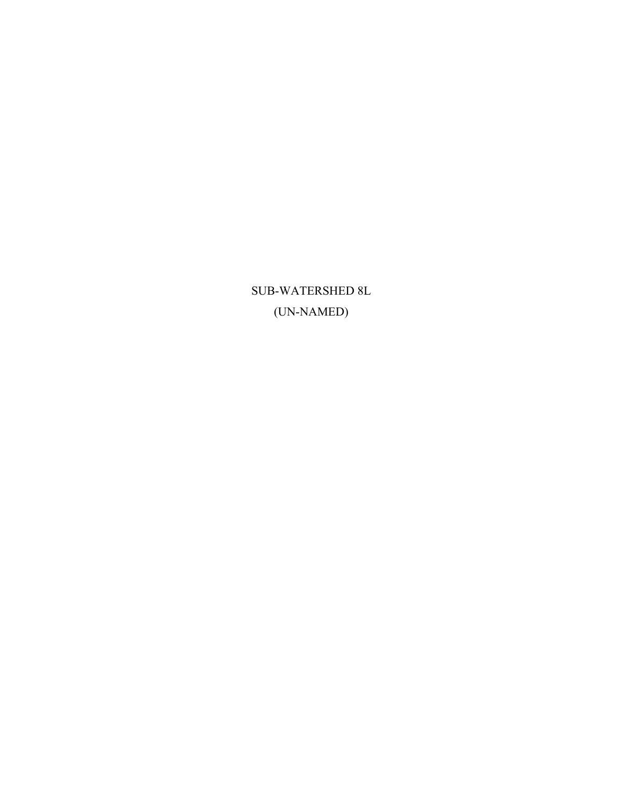SUB-WATERSHED 8L (UN-NAMED)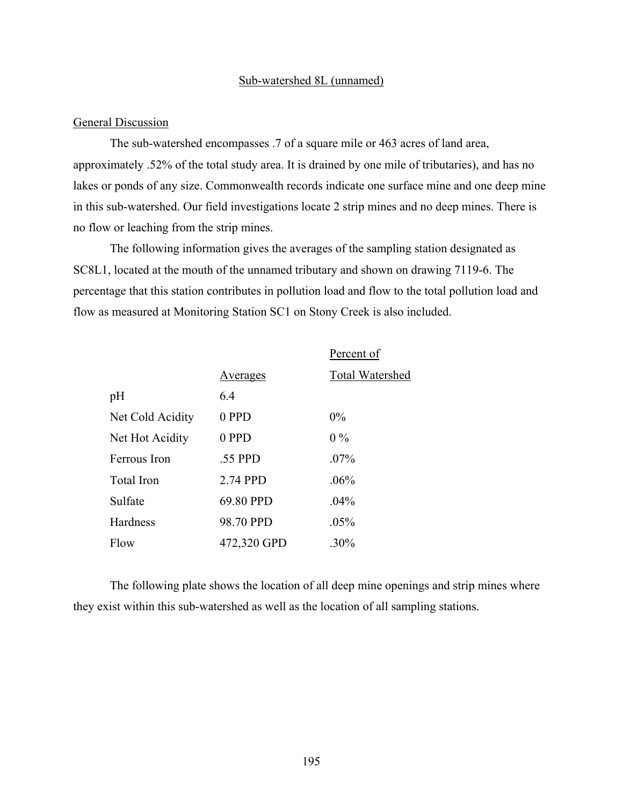#### Sub-watershed 8L (unnamed)

#### General Discussion

The sub-watershed encompasses .7 of a square mile or 463 acres of land area, approximately .52% of the total study area. It is drained by one mile of tributaries), and has no lakes or ponds of any size. Commonwealth records indicate one surface mine and one deep mine in this sub-watershed. Our field investigations locate 2 strip mines and no deep mines. There is no flow or leaching from the strip mines.

The following information gives the averages of the sampling station designated as SC8L1, located at the mouth of the unnamed tributary and shown on drawing 7119-6. The percentage that this station contributes in pollution load and flow to the total pollution load and flow as measured at Monitoring Station SC1 on Stony Creek is also included.

|                  |             | Percent of             |
|------------------|-------------|------------------------|
|                  | Averages    | <b>Total Watershed</b> |
| pH               | 64          |                        |
| Net Cold Acidity | 0 PPD       | $0\%$                  |
| Net Hot Acidity  | 0 PPD       | $0\%$                  |
| Ferrous Iron     | .55 PPD     | $.07\%$                |
| Total Iron       | 2.74 PPD    | .06%                   |
| Sulfate          | 69.80 PPD   | $.04\%$                |
| Hardness         | 98.70 PPD   | .05%                   |
| Flow             | 472,320 GPD | $.30\%$                |

The following plate shows the location of all deep mine openings and strip mines where they exist within this sub-watershed as well as the location of all sampling stations.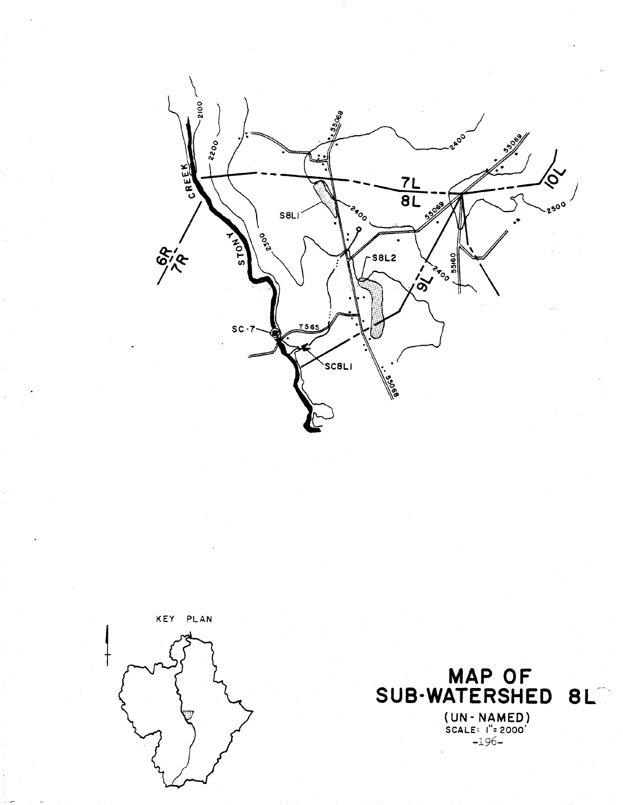



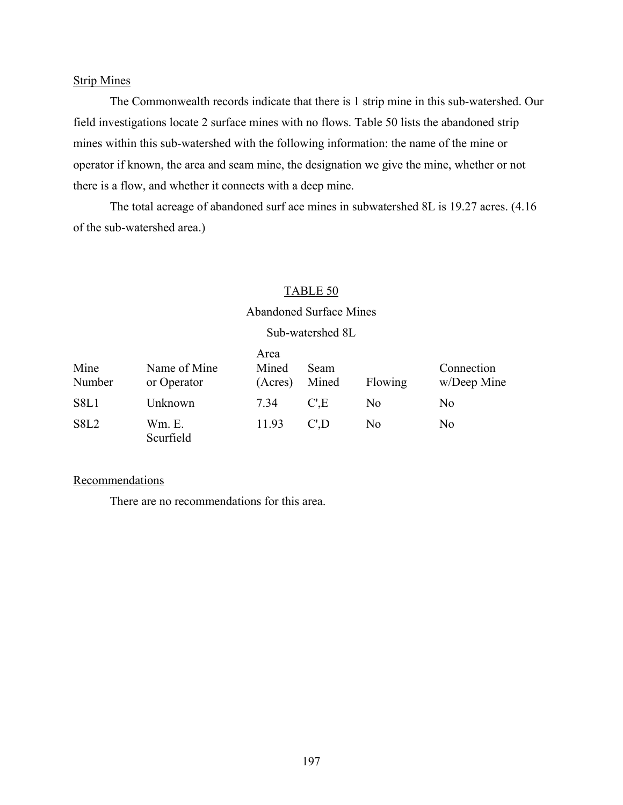#### Strip Mines

The Commonwealth records indicate that there is 1 strip mine in this sub-watershed. Our field investigations locate 2 surface mines with no flows. Table 50 lists the abandoned strip mines within this sub-watershed with the following information: the name of the mine or operator if known, the area and seam mine, the designation we give the mine, whether or not there is a flow, and whether it connects with a deep mine.

The total acreage of abandoned surf ace mines in subwatershed 8L is 19.27 acres. (4.16 of the sub-watershed area.)

#### TABLE 50

#### Abandoned Surface Mines

#### Sub-watershed 8L

| Mine<br>Number   | Name of Mine<br>or Operator | Area<br>Mined<br>(Acres) | <b>Seam</b><br>Mined | Flowing        | Connection<br>w/Deep Mine |
|------------------|-----------------------------|--------------------------|----------------------|----------------|---------------------------|
| S8L1             | Unknown                     | 7.34                     | C'.E                 | N <sub>0</sub> | N <sub>0</sub>            |
| S8L <sub>2</sub> | Wm. E.<br>Scurfield         | 11.93                    | C'D                  | No.            | No                        |

#### **Recommendations**

There are no recommendations for this area.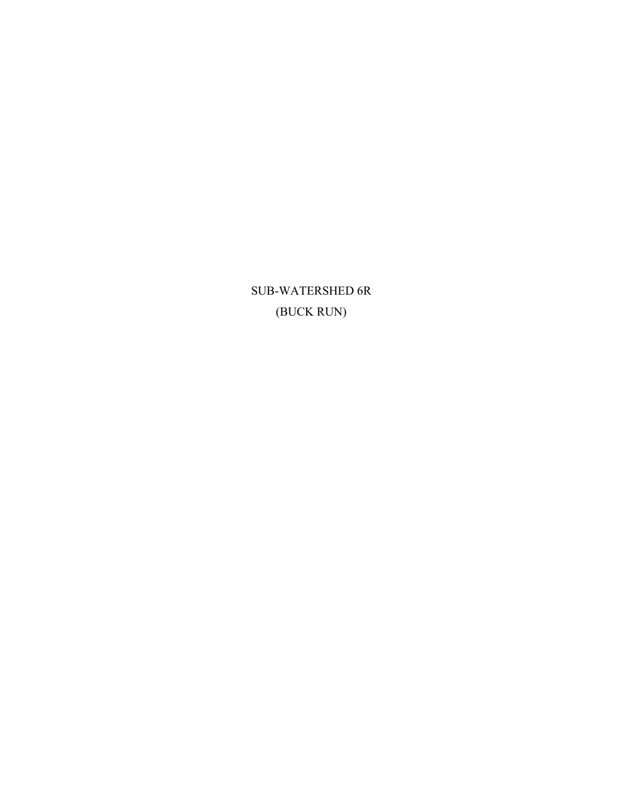SUB-WATERSHED 6R (BUCK RUN)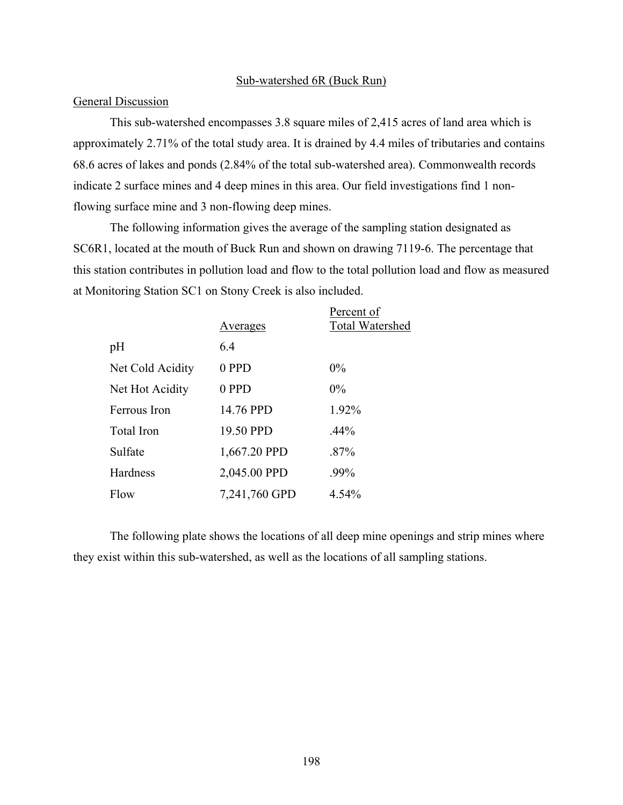#### Sub-watershed 6R (Buck Run)

#### **General Discussion**

This sub-watershed encompasses 3.8 square miles of 2,415 acres of land area which is approximately 2.71% of the total study area. It is drained by 4.4 miles of tributaries and contains 68.6 acres of lakes and ponds (2.84% of the total sub-watershed area). Commonwealth records indicate 2 surface mines and 4 deep mines in this area. Our field investigations find 1 nonflowing surface mine and 3 non-flowing deep mines.

The following information gives the average of the sampling station designated as SC6R1, located at the mouth of Buck Run and shown on drawing 7119-6. The percentage that this station contributes in pollution load and flow to the total pollution load and flow as measured at Monitoring Station SC1 on Stony Creek is also included.

|                  | Averages      | Percent of<br>Total Watershed |
|------------------|---------------|-------------------------------|
| pH               | 6.4           |                               |
| Net Cold Acidity | 0 PPD         | $0\%$                         |
| Net Hot Acidity  | 0 PPD         | $0\%$                         |
| Ferrous Iron     | 14.76 PPD     | 1.92%                         |
| Total Iron       | 19.50 PPD     | $.44\%$                       |
| Sulfate          | 1,667.20 PPD  | $.87\%$                       |
| Hardness         | 2,045.00 PPD  | .99%                          |
| Flow             | 7,241,760 GPD | 4.54%                         |

The following plate shows the locations of all deep mine openings and strip mines where they exist within this sub-watershed, as well as the locations of all sampling stations.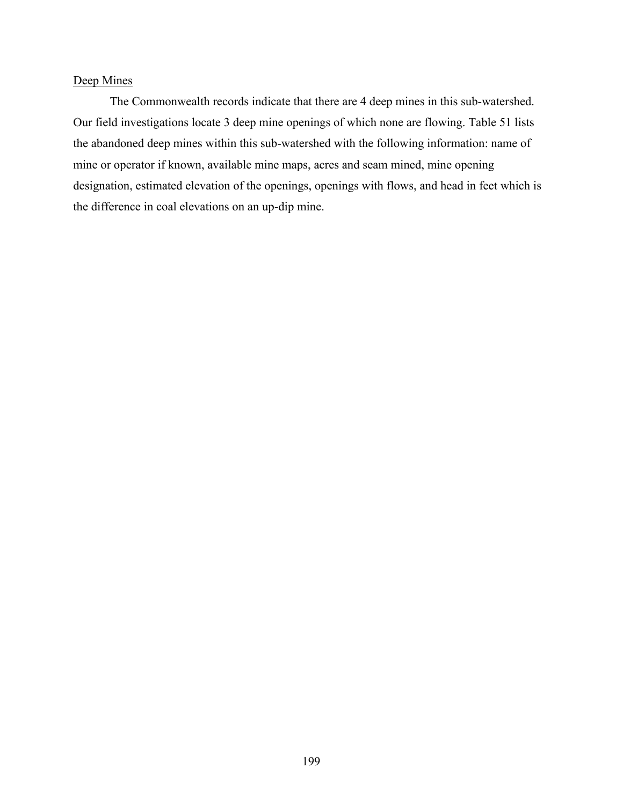## Deep Mines

The Commonwealth records indicate that there are 4 deep mines in this sub-watershed. Our field investigations locate 3 deep mine openings of which none are flowing. Table 51 lists the abandoned deep mines within this sub-watershed with the following information: name of mine or operator if known, available mine maps, acres and seam mined, mine opening designation, estimated elevation of the openings, openings with flows, and head in feet which is the difference in coal elevations on an up-dip mine.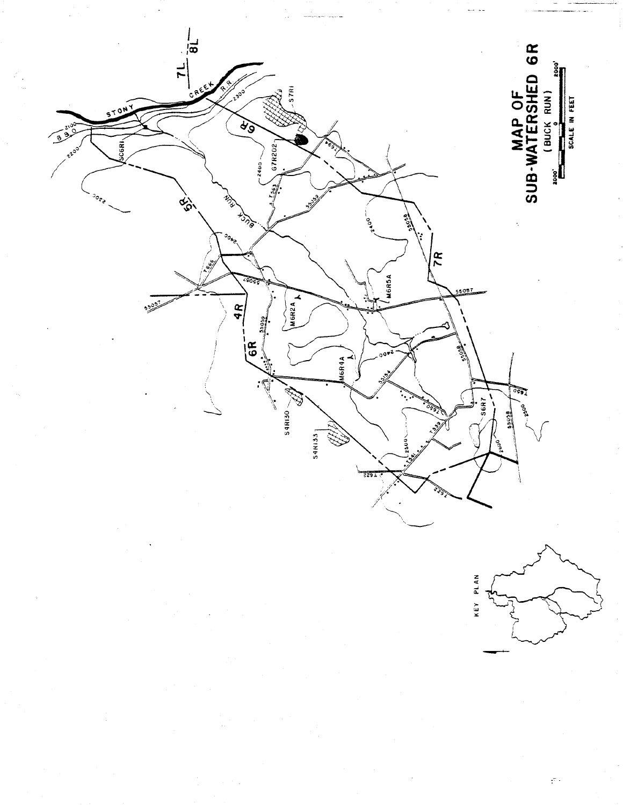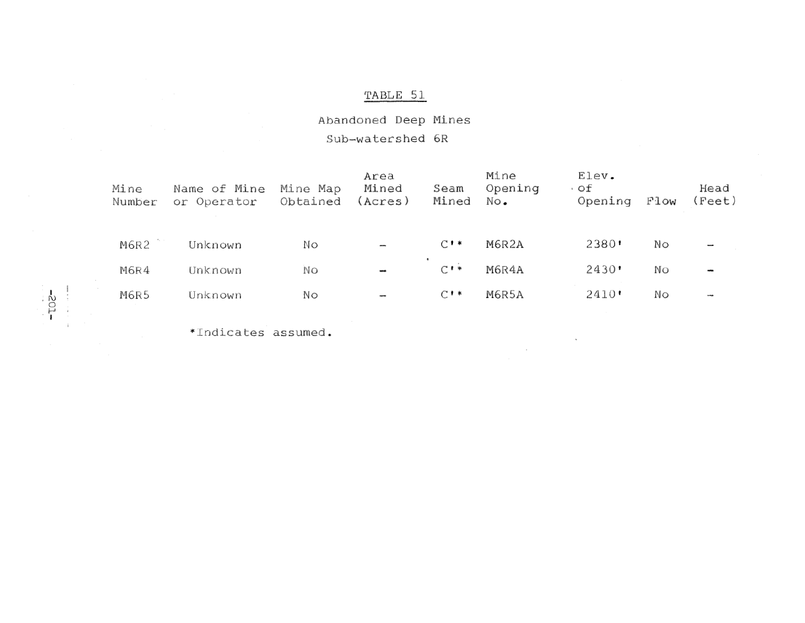## Abandoned Deep Mines Sub-watershed 6R

| Mine<br>Number | Name of Mine<br>or Operator | Mine Map<br>Obtained | Area<br>Mined<br>(Acres) | Seam<br>Mined       | Mine<br>Opening<br>No. | $E$ lev.<br>۰of<br>Opening | Flow | Head<br>(Feet)           |
|----------------|-----------------------------|----------------------|--------------------------|---------------------|------------------------|----------------------------|------|--------------------------|
| M6R2           | Unknown                     | NΟ                   | $\overline{\phantom{0}}$ | $C^*$               | M6R2A                  | 2380'                      | No   |                          |
| M6R4           | Unknown                     | No                   | $\overline{\phantom{a}}$ | $C$ ! *             | M6R4A                  | 2430                       | NΟ   |                          |
| M6R5           | Unknown                     | Nο                   | $\overline{\phantom{a}}$ | $C$ $\cdot$ $\cdot$ | M6R5A                  | 2410'                      | Νo   | $\overline{\phantom{a}}$ |

 $\lambda$ 

 $\sim$ 

\*Indicates assumed.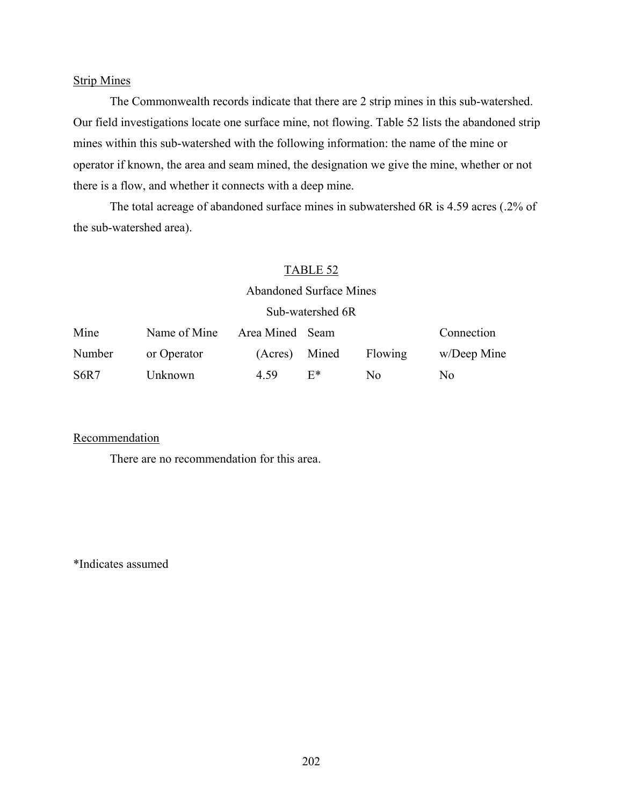#### Strip Mines

The Commonwealth records indicate that there are 2 strip mines in this sub-watershed. Our field investigations locate one surface mine, not flowing. Table 52 lists the abandoned strip mines within this sub-watershed with the following information: the name of the mine or operator if known, the area and seam mined, the designation we give the mine, whether or not there is a flow, and whether it connects with a deep mine.

The total acreage of abandoned surface mines in subwatershed 6R is 4.59 acres (.2% of the sub-watershed area).

#### TABLE 52

# Abandoned Surface Mines

#### Sub-watershed 6R

| Mine                          | Name of Mine | Area Mined Seam |       |         | Connection     |
|-------------------------------|--------------|-----------------|-------|---------|----------------|
| Number                        | or Operator  | (Acres) Mined   |       | Flowing | w/Deep Mine    |
| S <sub>6</sub> R <sub>7</sub> | Unknown      | 4.59            | $F^*$ | No.     | N <sub>0</sub> |

#### **Recommendation**

There are no recommendation for this area.

\*Indicates assumed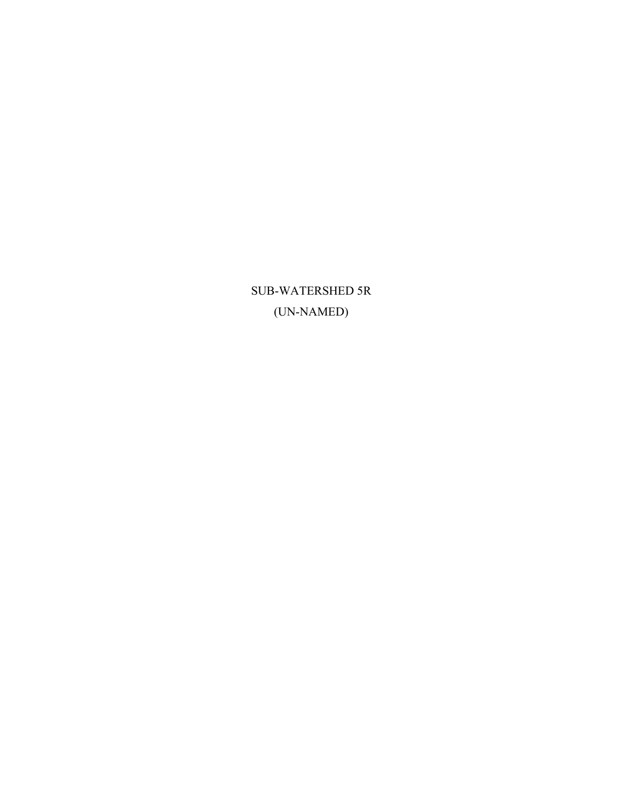SUB-WATERSHED 5R (UN-NAMED)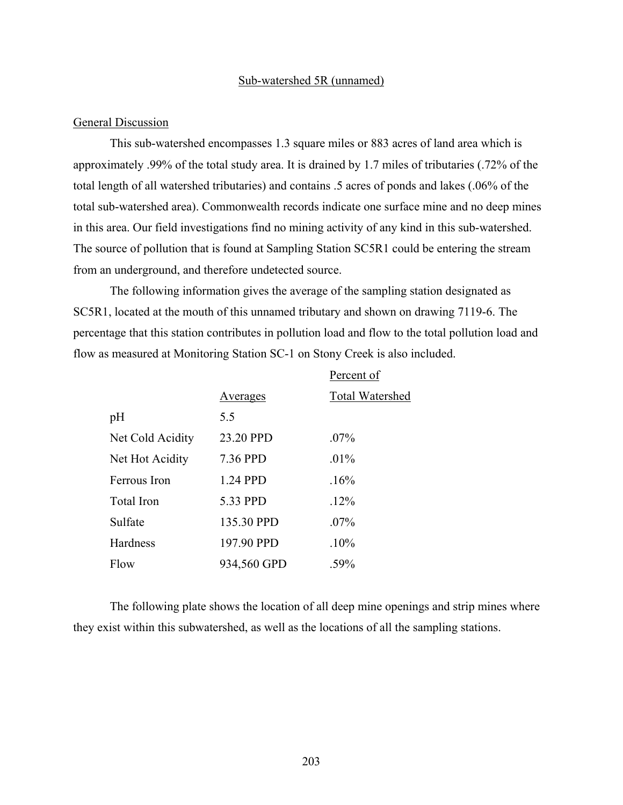#### Sub-watershed 5R (unnamed)

#### General Discussion

This sub-watershed encompasses 1.3 square miles or 883 acres of land area which is approximately .99% of the total study area. It is drained by 1.7 miles of tributaries (.72% of the total length of all watershed tributaries) and contains .5 acres of ponds and lakes (.06% of the total sub-watershed area). Commonwealth records indicate one surface mine and no deep mines in this area. Our field investigations find no mining activity of any kind in this sub-watershed. The source of pollution that is found at Sampling Station SC5R1 could be entering the stream from an underground, and therefore undetected source.

The following information gives the average of the sampling station designated as SC5R1, located at the mouth of this unnamed tributary and shown on drawing 7119-6. The percentage that this station contributes in pollution load and flow to the total pollution load and flow as measured at Monitoring Station SC-1 on Stony Creek is also included.

|                  |             | Percent of             |
|------------------|-------------|------------------------|
|                  | Averages    | <b>Total Watershed</b> |
| pH               | 5.5         |                        |
| Net Cold Acidity | 23.20 PPD   | $.07\%$                |
| Net Hot Acidity  | 7.36 PPD    | $.01\%$                |
| Ferrous Iron     | 1.24 PPD    | .16%                   |
| Total Iron       | 5.33 PPD    | .12%                   |
| Sulfate          | 135.30 PPD  | $.07\%$                |
| Hardness         | 197.90 PPD  | .10%                   |
| Flow             | 934,560 GPD | .59%                   |

The following plate shows the location of all deep mine openings and strip mines where they exist within this subwatershed, as well as the locations of all the sampling stations.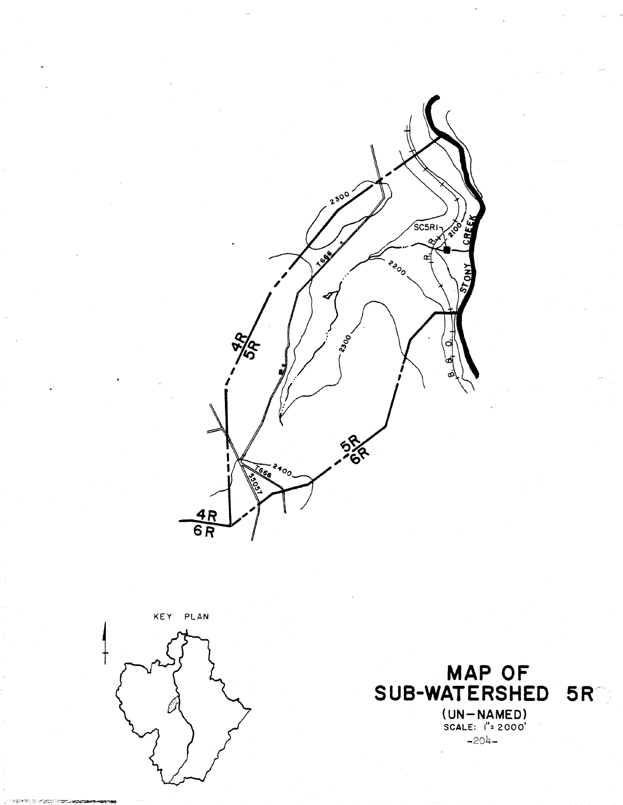



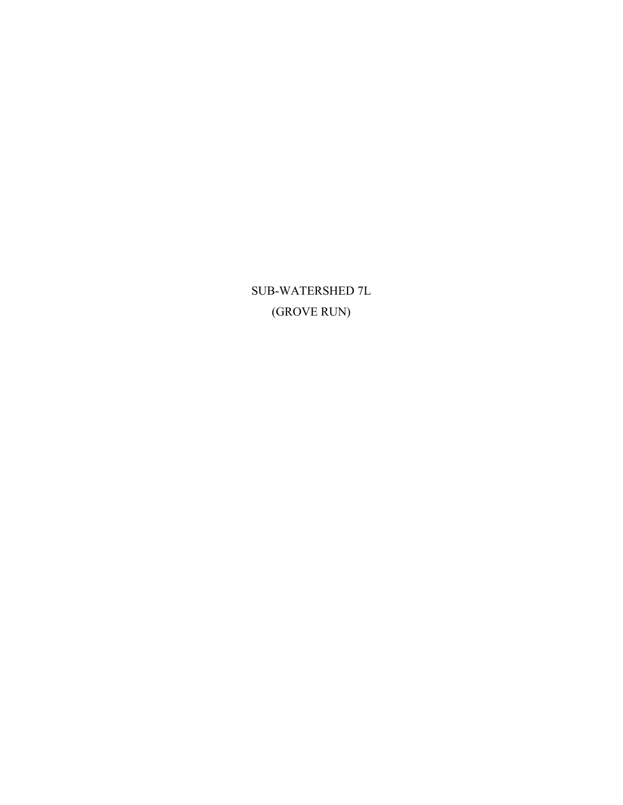SUB-WATERSHED 7L (GROVE RUN)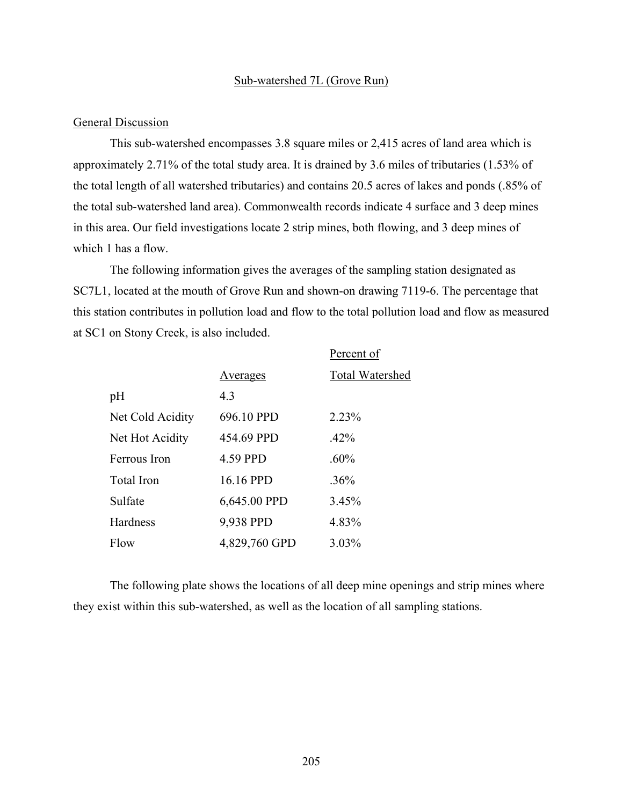#### Sub-watershed 7L (Grove Run)

#### General Discussion

This sub-watershed encompasses 3.8 square miles or 2,415 acres of land area which is approximately 2.71% of the total study area. It is drained by 3.6 miles of tributaries (1.53% of the total length of all watershed tributaries) and contains 20.5 acres of lakes and ponds (.85% of the total sub-watershed land area). Commonwealth records indicate 4 surface and 3 deep mines in this area. Our field investigations locate 2 strip mines, both flowing, and 3 deep mines of which 1 has a flow.

The following information gives the averages of the sampling station designated as SC7L1, located at the mouth of Grove Run and shown-on drawing 7119-6. The percentage that this station contributes in pollution load and flow to the total pollution load and flow as measured at SC1 on Stony Creek, is also included.

|                   |               | Percent of             |
|-------------------|---------------|------------------------|
|                   | Averages      | <b>Total Watershed</b> |
| pH                | 4.3           |                        |
| Net Cold Acidity  | 696.10 PPD    | 2.23%                  |
| Net Hot Acidity   | 454.69 PPD    | $.42\%$                |
| Ferrous Iron      | 4.59 PPD      | $.60\%$                |
| <b>Total Iron</b> | 16.16 PPD     | .36%                   |
| Sulfate           | 6,645.00 PPD  | 3.45%                  |
| Hardness          | 9,938 PPD     | 4.83%                  |
| Flow              | 4,829,760 GPD | 3.03%                  |

The following plate shows the locations of all deep mine openings and strip mines where they exist within this sub-watershed, as well as the location of all sampling stations.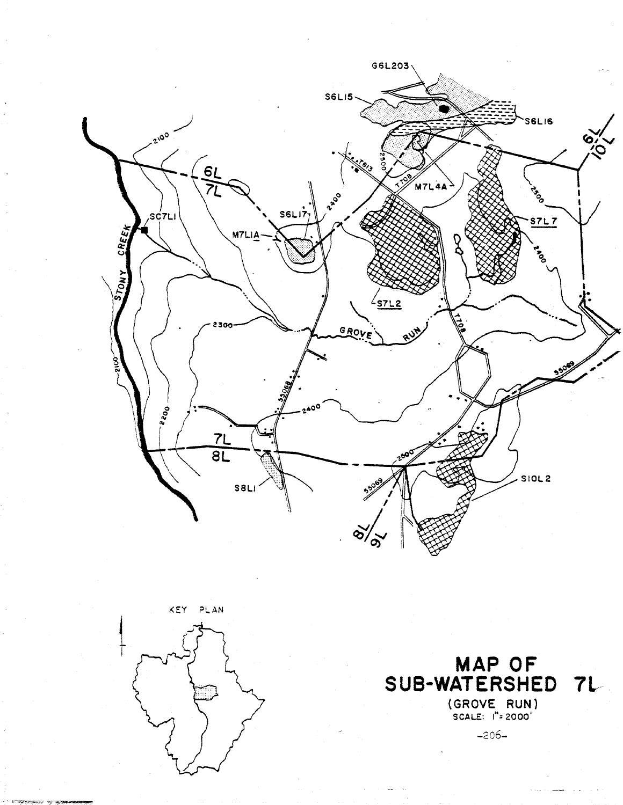





 $-206-$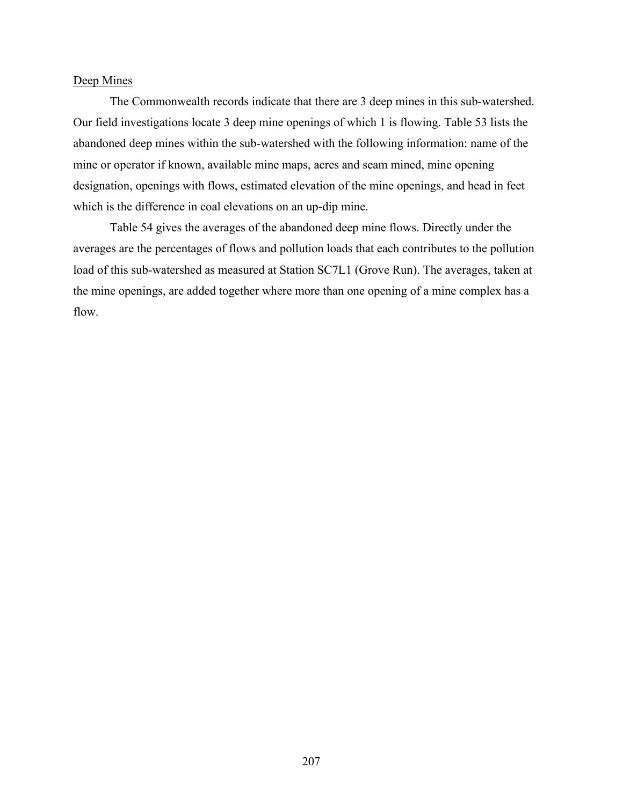#### Deep Mines

The Commonwealth records indicate that there are 3 deep mines in this sub-watershed. Our field investigations locate 3 deep mine openings of which 1 is flowing. Table 53 lists the abandoned deep mines within the sub-watershed with the following information: name of the mine or operator if known, available mine maps, acres and seam mined, mine opening designation, openings with flows, estimated elevation of the mine openings, and head in feet which is the difference in coal elevations on an up-dip mine.

Table 54 gives the averages of the abandoned deep mine flows. Directly under the averages are the percentages of flows and pollution loads that each contributes to the pollution load of this sub-watershed as measured at Station SC7L1 (Grove Run). The averages, taken at the mine openings, are added together where more than one opening of a mine complex has a flow.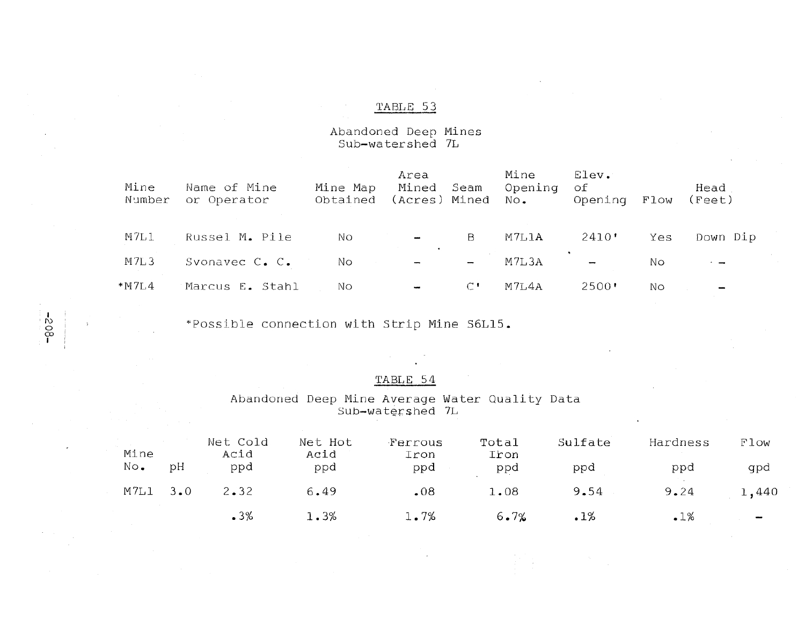# Abandoned Deep Mines<br>Sub-watershed 7L

| Mine<br>Number | Name of Mine<br>or Operator | Mine Map<br>Obtained | Area<br>Mined<br>(Acres) Mined No. | Seam                     | Mine<br>Opening | Elev.<br>оf<br>Opening         | Flow | Head<br>(Feet) |
|----------------|-----------------------------|----------------------|------------------------------------|--------------------------|-----------------|--------------------------------|------|----------------|
| M7L1           | Russel M. Pile              | NΟ                   | $\overline{\phantom{a}}$           | B                        | M7L1A           | 2410'                          | Yes  | Down Dip       |
| M7L3           | Svonavec C. C.              | No.                  | $\overline{\phantom{a}}$           | $\overline{\phantom{a}}$ | M7L3A           | ۰.<br>$\overline{\phantom{a}}$ | Nо   | $\cdot$ $-$    |
| * M 7 L 4      | Marcus E. Stahl             | NΟ                   | $\overline{\phantom{a}}$           | $\mathcal{C}$ !          | M7L4A           | 2500'                          | NΟ   |                |

\*Possible connection with Strip Mine S6L15.

 $-308 -$ 

#### TABLE 54

Abandoned Deep Mine Average Water Quality Data Sub-watershed 7L

| Mine<br>No. | рH | Net Cold<br>Acid<br>ppd | Net Hot<br>Acid<br>ppd | Ferrous<br>Iron<br>ppd | Total<br>Iron<br>ppd | Sulfate<br>ppd | Hardness<br>ppd | Flow<br>gpd |
|-------------|----|-------------------------|------------------------|------------------------|----------------------|----------------|-----------------|-------------|
| $M7L1$ 3.0  |    | 2.32                    | 6.49                   | .08                    | 1.08                 | 9.54           | 9.24            | 1,440       |
|             |    | .3%                     | 1.3%                   | 1.7%                   | 6.7%                 | .1%            | .1%             | ļ           |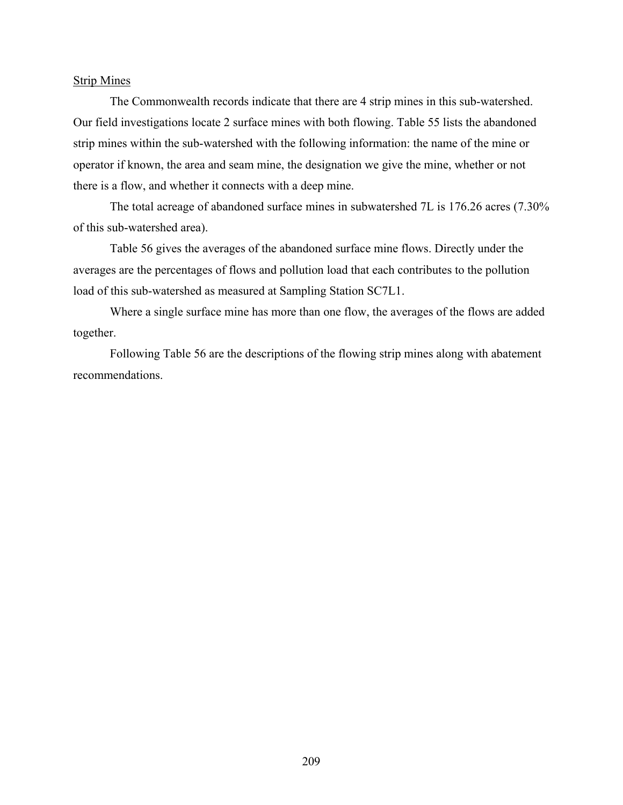#### Strip Mines

The Commonwealth records indicate that there are 4 strip mines in this sub-watershed. Our field investigations locate 2 surface mines with both flowing. Table 55 lists the abandoned strip mines within the sub-watershed with the following information: the name of the mine or operator if known, the area and seam mine, the designation we give the mine, whether or not there is a flow, and whether it connects with a deep mine.

The total acreage of abandoned surface mines in subwatershed 7L is 176.26 acres (7.30% of this sub-watershed area).

Table 56 gives the averages of the abandoned surface mine flows. Directly under the averages are the percentages of flows and pollution load that each contributes to the pollution load of this sub-watershed as measured at Sampling Station SC7L1.

Where a single surface mine has more than one flow, the averages of the flows are added together.

Following Table 56 are the descriptions of the flowing strip mines along with abatement recommendations.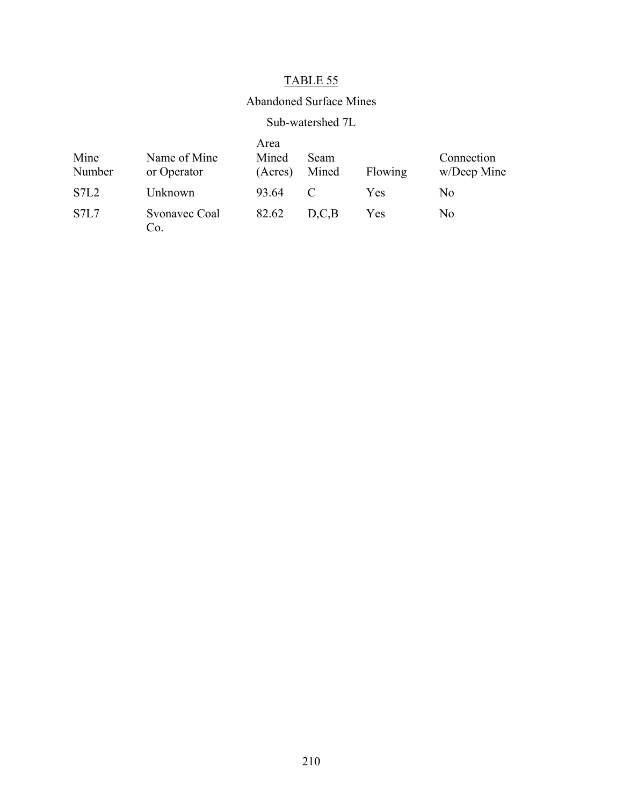## Abandoned Surface Mines

## Sub-watershed 7L

| Mine<br>Number                | Name of Mine<br>or Operator | Area<br>Mined<br>(Acres) | <b>Seam</b><br>Mined | Flowing | Connection<br>w/Deep Mine |
|-------------------------------|-----------------------------|--------------------------|----------------------|---------|---------------------------|
| STL2                          | Unknown                     | 93.64                    |                      | Yes     | N <sub>0</sub>            |
| S <sub>7</sub> L <sub>7</sub> | Svonavec Coal<br>Co.        | 82.62                    | D.C.B                | Yes     | N <sub>0</sub>            |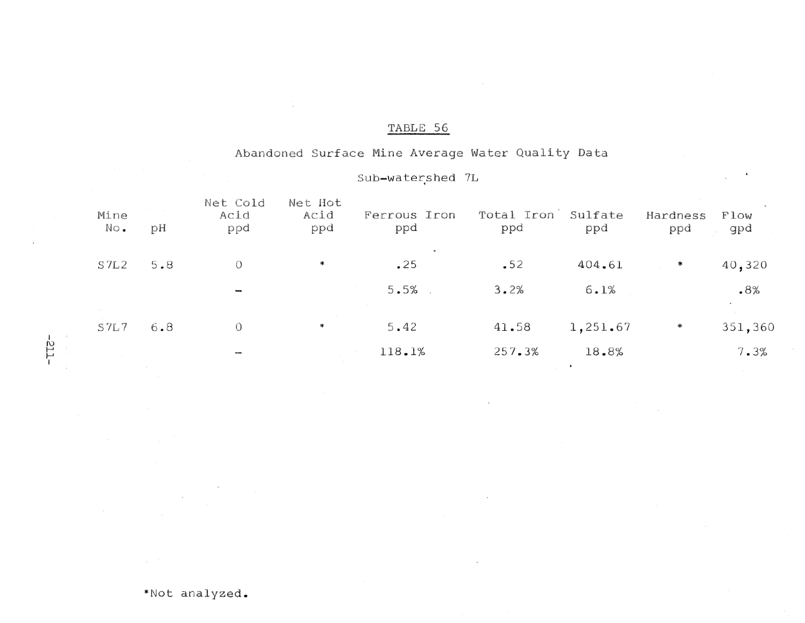# Abandoned Surface Mine Average Water Quality Data

# Sub-watershed 7L

| Mine<br>No. | рH  | Net Cold<br>Acid<br>ppd  | Net Hot<br>Acid<br>ppd | Ferrous Iron<br>ppd | Total Iron<br>ppd | Sulfate<br>ppd | Hardness<br>ppd | Flow<br>gpd                     |
|-------------|-----|--------------------------|------------------------|---------------------|-------------------|----------------|-----------------|---------------------------------|
| S7L2        | 5.8 | $\circ$                  | ∗                      | .25                 | $-52$             | 404.61         | $\ast$          | 40,320                          |
|             |     | $\overline{\phantom{a}}$ |                        | 5.5%                | 3.2%              | 6.1%           |                 | .8%<br>$\overline{\phantom{a}}$ |
| S7L7        | 6.8 | $\circ$                  | ∗                      | 5.42                | 41.58             | 1,251.67       | ∗               | 351,360                         |
|             |     | $\sim$                   |                        | 118.1%              | 257.3%            | 18.8%          |                 | 7.3%                            |

 $-112 -$ 

 $\mathcal{A}$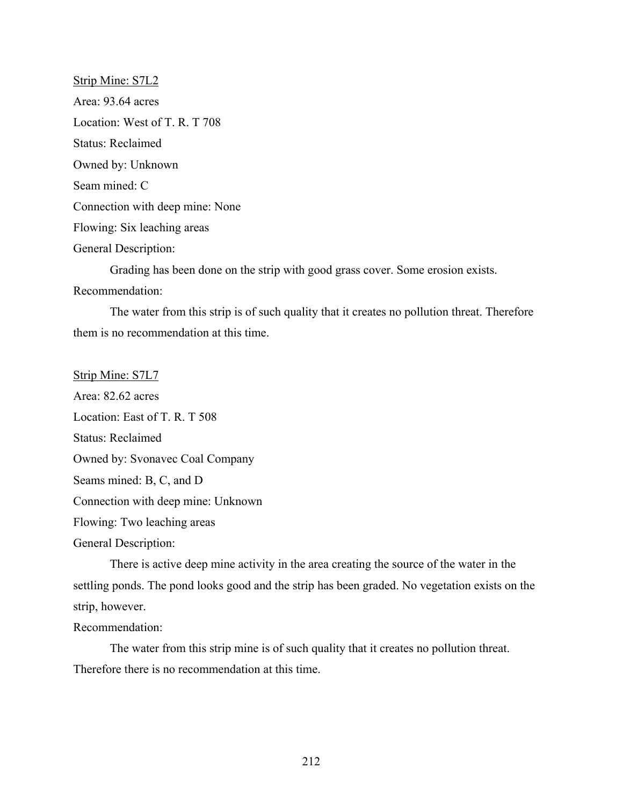Strip Mine: S7L2 Area: 93.64 acres Location: West of T. R. T 708 Status: Reclaimed Owned by: Unknown Seam mined: C Connection with deep mine: None Flowing: Six leaching areas General Description: Grading has been done on the strip with good grass cover. Some erosion exists. Recommendation:

The water from this strip is of such quality that it creates no pollution threat. Therefore them is no recommendation at this time.

Strip Mine: S7L7

Area: 82.62 acres Location: East of T. R. T 508 Status: Reclaimed Owned by: Svonavec Coal Company Seams mined: B, C, and D Connection with deep mine: Unknown Flowing: Two leaching areas General Description:

There is active deep mine activity in the area creating the source of the water in the settling ponds. The pond looks good and the strip has been graded. No vegetation exists on the strip, however.

Recommendation:

The water from this strip mine is of such quality that it creates no pollution threat. Therefore there is no recommendation at this time.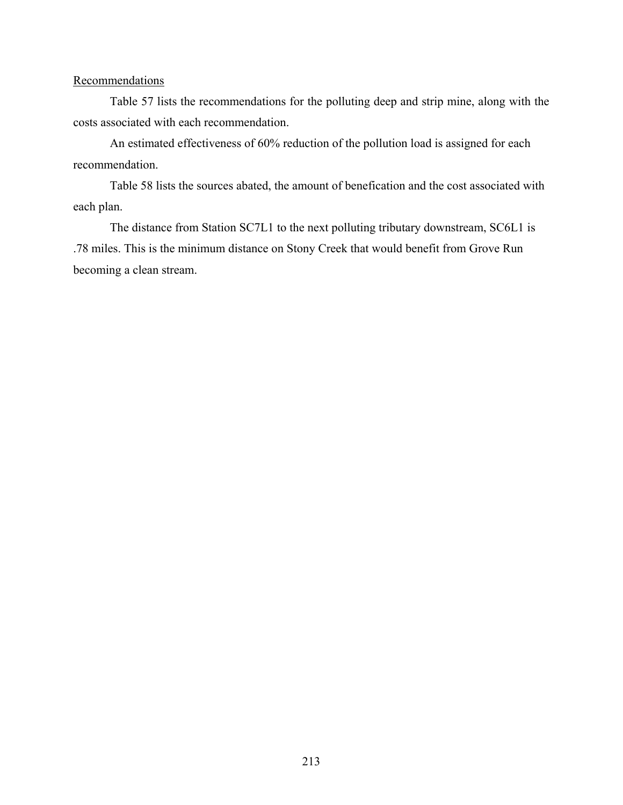#### **Recommendations**

Table 57 lists the recommendations for the polluting deep and strip mine, along with the costs associated with each recommendation.

An estimated effectiveness of 60% reduction of the pollution load is assigned for each recommendation.

Table 58 lists the sources abated, the amount of benefication and the cost associated with each plan.

The distance from Station SC7L1 to the next polluting tributary downstream, SC6L1 is .78 miles. This is the minimum distance on Stony Creek that would benefit from Grove Run becoming a clean stream.